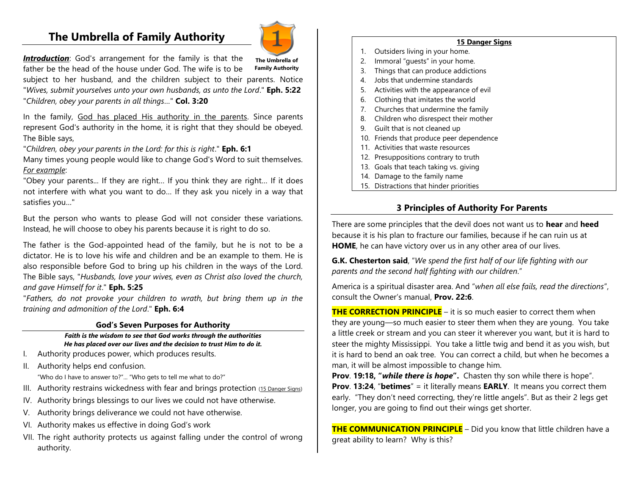## **The Umbrella of Family Authority**



*Introduction*: God's arrangement for the family is that the father be the head of the house under God. The wife is to be subject to her husband, and the children subject to their parents. Notice "*Wives, submit yourselves unto your own husbands, as unto the Lord*." **Eph. 5:22** "*Children, obey your parents in all things*…" **Col. 3:20 The Umbrella of Family Authority**

In the family, God has placed His authority in the parents. Since parents represent God's authority in the home, it is right that they should be obeyed. The Bible says,

"*Children, obey your parents in the Lord: for this is right*." **Eph. 6:1**

Many times young people would like to change God's Word to suit themselves. *For example*:

"Obey your parents... If they are right… If you think they are right… If it does not interfere with what you want to do… If they ask you nicely in a way that satisfies you…"

But the person who wants to please God will not consider these variations. Instead, he will choose to obey his parents because it is right to do so.

The father is the God-appointed head of the family, but he is not to be a dictator. He is to love his wife and children and be an example to them. He is also responsible before God to bring up his children in the ways of the Lord. The Bible says, "*Husbands, love your wives, even as Christ also loved the church, and gave Himself for it*." **Eph. 5:25**

"*Fathers, do not provoke your children to wrath, but bring them up in the training and admonition of the Lord*." **Eph. 6:4**

## **God's Seven Purposes for Authority**

*Faith is the wisdom to see that God works through the authorities He has placed over our lives and the decision to trust Him to do it.*

- I. Authority produces power, which produces results.
- II. Authority helps end confusion.

"Who do I have to answer to?"... "Who gets to tell me what to do?"

- III. Authority restrains wickedness with fear and brings protection (15 Danger Signs)
- IV. Authority brings blessings to our lives we could not have otherwise.
- V. Authority brings deliverance we could not have otherwise.
- VI. Authority makes us effective in doing God's work
- VII. The right authority protects us against falling under the control of wrong authority.
- **15 Danger Signs**
- 1. Outsiders living in your home.
- 2. Immoral "guests" in your home.
- 3. Things that can produce addictions
- 4. Jobs that undermine standards
- 5. Activities with the appearance of evil
- 6. Clothing that imitates the world
- 7. Churches that undermine the family
- 8. Children who disrespect their mother
- 9. Guilt that is not cleaned up
- 10. Friends that produce peer dependence
- 11. Activities that waste resources
- 12. Presuppositions contrary to truth
- 13. Goals that teach taking vs. giving
- 14. Damage to the family name
- 15. Distractions that hinder priorities

## **3 Principles of Authority For Parents**

There are some principles that the devil does not want us to **hear** and **heed** because it is his plan to fracture our families, because if he can ruin us at **HOME**, he can have victory over us in any other area of our lives.

**G.K. Chesterton said**, "*We spend the first half of our life fighting with our parents and the second half fighting with our children*."

America is a spiritual disaster area. And "*when all else fails, read the directions*", consult the Owner's manual, **Prov. 22:6**.

**THE CORRECTION PRINCIPLE** – it is so much easier to correct them when they are young—so much easier to steer them when they are young. You take a little creek or stream and you can steer it wherever you want, but it is hard to steer the mighty Mississippi. You take a little twig and bend it as you wish, but it is hard to bend an oak tree. You can correct a child, but when he becomes a man, it will be almost impossible to change him.

**Prov**. **19:18, "***while there is hope***".** Chasten thy son while there is hope".

**Prov**. **13:24**, "**betimes**" = it literally means **EARLY**. It means you correct them early. "They don't need correcting, they're little angels". But as their 2 legs get longer, you are going to find out their wings get shorter.

**THE COMMUNICATION PRINCIPLE** – Did you know that little children have a great ability to learn? Why is this?